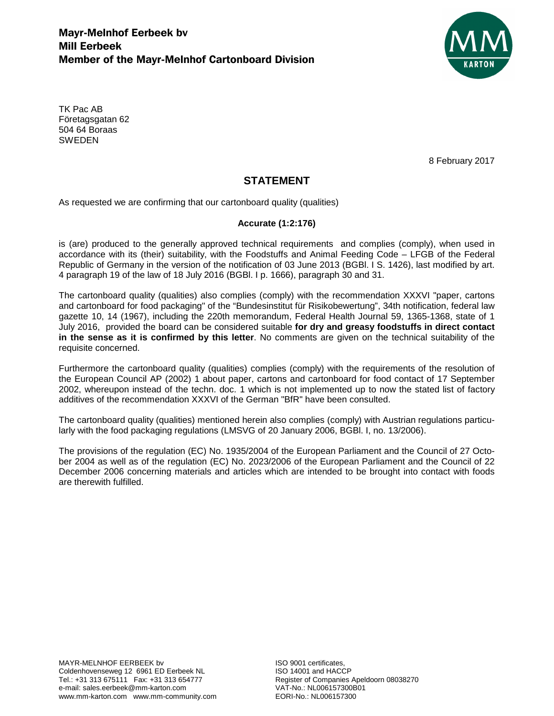

TK Pac AB Företagsgatan 62 504 64 Boraas **SWEDEN** 

8 February 2017

## **STATEMENT**

As requested we are confirming that our cartonboard quality (qualities)

## **Accurate (1:2:176)**

is (are) produced to the generally approved technical requirements and complies (comply), when used in accordance with its (their) suitability, with the Foodstuffs and Animal Feeding Code – LFGB of the Federal Republic of Germany in the version of the notification of 03 June 2013 (BGBl. I S. 1426), last modified by art. 4 paragraph 19 of the law of 18 July 2016 (BGBl. I p. 1666), paragraph 30 and 31.

The cartonboard quality (qualities) also complies (comply) with the recommendation XXXVI "paper, cartons and cartonboard for food packaging" of the "Bundesinstitut für Risikobewertung", 34th notification, federal law gazette 10, 14 (1967), including the 220th memorandum, Federal Health Journal 59, 1365-1368, state of 1 July 2016, provided the board can be considered suitable **for dry and greasy foodstuffs in direct contact in the sense as it is confirmed by this letter**. No comments are given on the technical suitability of the requisite concerned.

Furthermore the cartonboard quality (qualities) complies (comply) with the requirements of the resolution of the European Council AP (2002) 1 about paper, cartons and cartonboard for food contact of 17 September 2002, whereupon instead of the techn. doc. 1 which is not implemented up to now the stated list of factory additives of the recommendation XXXVI of the German "BfR" have been consulted.

The cartonboard quality (qualities) mentioned herein also complies (comply) with Austrian regulations particularly with the food packaging regulations (LMSVG of 20 January 2006, BGBl. I, no. 13/2006).

The provisions of the regulation (EC) No. 1935/2004 of the European Parliament and the Council of 27 October 2004 as well as of the regulation (EC) No. 2023/2006 of the European Parliament and the Council of 22 December 2006 concerning materials and articles which are intended to be brought into contact with foods are therewith fulfilled.